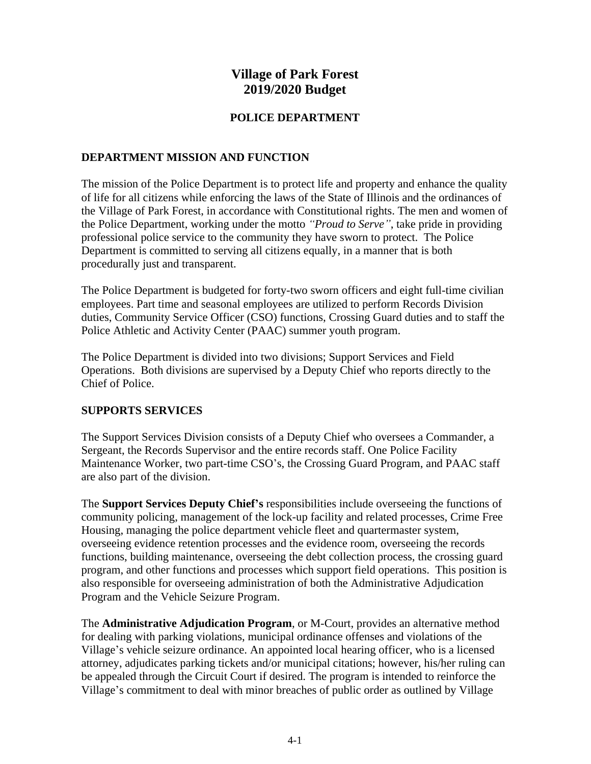# **Village of Park Forest 2019/2020 Budget**

# **POLICE DEPARTMENT**

# **DEPARTMENT MISSION AND FUNCTION**

The mission of the Police Department is to protect life and property and enhance the quality of life for all citizens while enforcing the laws of the State of Illinois and the ordinances of the Village of Park Forest, in accordance with Constitutional rights. The men and women of the Police Department, working under the motto *"Proud to Serve"*, take pride in providing professional police service to the community they have sworn to protect. The Police Department is committed to serving all citizens equally, in a manner that is both procedurally just and transparent.

The Police Department is budgeted for forty-two sworn officers and eight full-time civilian employees. Part time and seasonal employees are utilized to perform Records Division duties, Community Service Officer (CSO) functions, Crossing Guard duties and to staff the Police Athletic and Activity Center (PAAC) summer youth program.

The Police Department is divided into two divisions; Support Services and Field Operations. Both divisions are supervised by a Deputy Chief who reports directly to the Chief of Police.

# **SUPPORTS SERVICES**

The Support Services Division consists of a Deputy Chief who oversees a Commander, a Sergeant, the Records Supervisor and the entire records staff. One Police Facility Maintenance Worker, two part-time CSO's, the Crossing Guard Program, and PAAC staff are also part of the division.

The **Support Services Deputy Chief's** responsibilities include overseeing the functions of community policing, management of the lock-up facility and related processes, Crime Free Housing, managing the police department vehicle fleet and quartermaster system, overseeing evidence retention processes and the evidence room, overseeing the records functions, building maintenance, overseeing the debt collection process, the crossing guard program, and other functions and processes which support field operations. This position is also responsible for overseeing administration of both the Administrative Adjudication Program and the Vehicle Seizure Program.

The **Administrative Adjudication Program**, or M-Court, provides an alternative method for dealing with parking violations, municipal ordinance offenses and violations of the Village's vehicle seizure ordinance. An appointed local hearing officer, who is a licensed attorney, adjudicates parking tickets and/or municipal citations; however, his/her ruling can be appealed through the Circuit Court if desired. The program is intended to reinforce the Village's commitment to deal with minor breaches of public order as outlined by Village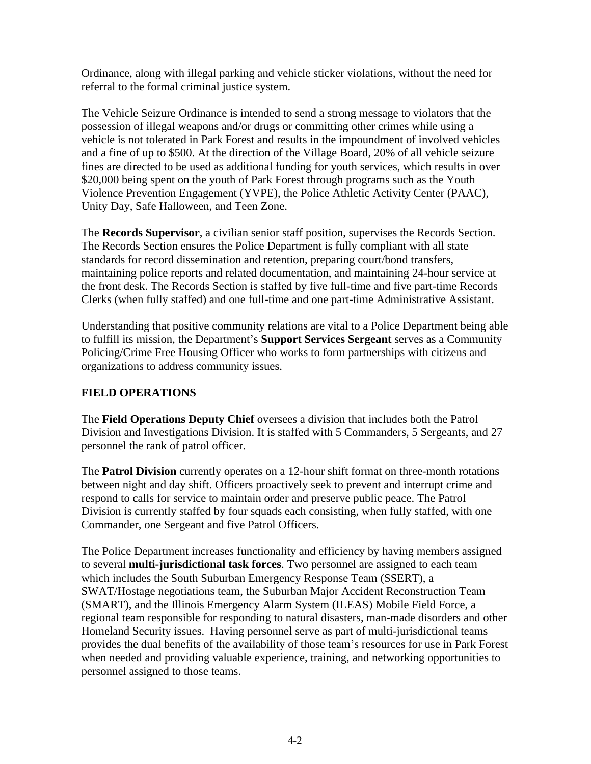Ordinance, along with illegal parking and vehicle sticker violations, without the need for referral to the formal criminal justice system.

The Vehicle Seizure Ordinance is intended to send a strong message to violators that the possession of illegal weapons and/or drugs or committing other crimes while using a vehicle is not tolerated in Park Forest and results in the impoundment of involved vehicles and a fine of up to \$500. At the direction of the Village Board, 20% of all vehicle seizure fines are directed to be used as additional funding for youth services, which results in over \$20,000 being spent on the youth of Park Forest through programs such as the Youth Violence Prevention Engagement (YVPE), the Police Athletic Activity Center (PAAC), Unity Day, Safe Halloween, and Teen Zone.

The **Records Supervisor**, a civilian senior staff position, supervises the Records Section. The Records Section ensures the Police Department is fully compliant with all state standards for record dissemination and retention, preparing court/bond transfers, maintaining police reports and related documentation, and maintaining 24-hour service at the front desk. The Records Section is staffed by five full-time and five part-time Records Clerks (when fully staffed) and one full-time and one part-time Administrative Assistant.

Understanding that positive community relations are vital to a Police Department being able to fulfill its mission, the Department's **Support Services Sergeant** serves as a Community Policing/Crime Free Housing Officer who works to form partnerships with citizens and organizations to address community issues.

# **FIELD OPERATIONS**

The **Field Operations Deputy Chief** oversees a division that includes both the Patrol Division and Investigations Division. It is staffed with 5 Commanders, 5 Sergeants, and 27 personnel the rank of patrol officer.

The **Patrol Division** currently operates on a 12-hour shift format on three-month rotations between night and day shift. Officers proactively seek to prevent and interrupt crime and respond to calls for service to maintain order and preserve public peace. The Patrol Division is currently staffed by four squads each consisting, when fully staffed, with one Commander, one Sergeant and five Patrol Officers.

The Police Department increases functionality and efficiency by having members assigned to several **multi-jurisdictional task forces**. Two personnel are assigned to each team which includes the South Suburban Emergency Response Team (SSERT), a SWAT/Hostage negotiations team, the Suburban Major Accident Reconstruction Team (SMART), and the Illinois Emergency Alarm System (ILEAS) Mobile Field Force, a regional team responsible for responding to natural disasters, man-made disorders and other Homeland Security issues. Having personnel serve as part of multi-jurisdictional teams provides the dual benefits of the availability of those team's resources for use in Park Forest when needed and providing valuable experience, training, and networking opportunities to personnel assigned to those teams.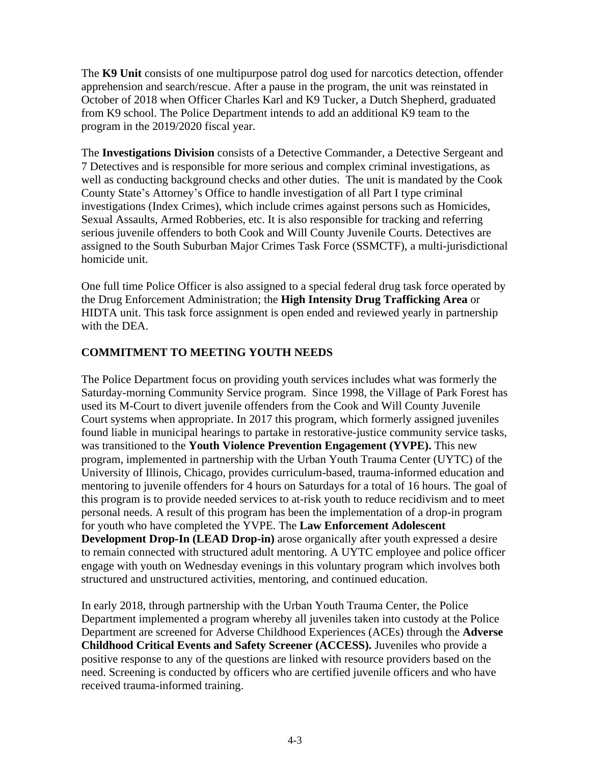The **K9 Unit** consists of one multipurpose patrol dog used for narcotics detection, offender apprehension and search/rescue. After a pause in the program, the unit was reinstated in October of 2018 when Officer Charles Karl and K9 Tucker, a Dutch Shepherd, graduated from K9 school. The Police Department intends to add an additional K9 team to the program in the 2019/2020 fiscal year.

The **Investigations Division** consists of a Detective Commander, a Detective Sergeant and 7 Detectives and is responsible for more serious and complex criminal investigations, as well as conducting background checks and other duties. The unit is mandated by the Cook County State's Attorney's Office to handle investigation of all Part I type criminal investigations (Index Crimes), which include crimes against persons such as Homicides, Sexual Assaults, Armed Robberies, etc. It is also responsible for tracking and referring serious juvenile offenders to both Cook and Will County Juvenile Courts. Detectives are assigned to the South Suburban Major Crimes Task Force (SSMCTF), a multi-jurisdictional homicide unit.

One full time Police Officer is also assigned to a special federal drug task force operated by the Drug Enforcement Administration; the **High Intensity Drug Trafficking Area** or HIDTA unit. This task force assignment is open ended and reviewed yearly in partnership with the DEA.

### **COMMITMENT TO MEETING YOUTH NEEDS**

The Police Department focus on providing youth services includes what was formerly the Saturday-morning Community Service program. Since 1998, the Village of Park Forest has used its M-Court to divert juvenile offenders from the Cook and Will County Juvenile Court systems when appropriate. In 2017 this program, which formerly assigned juveniles found liable in municipal hearings to partake in restorative-justice community service tasks, was transitioned to the **Youth Violence Prevention Engagement (YVPE).** This new program, implemented in partnership with the Urban Youth Trauma Center (UYTC) of the University of Illinois, Chicago, provides curriculum-based, trauma-informed education and mentoring to juvenile offenders for 4 hours on Saturdays for a total of 16 hours. The goal of this program is to provide needed services to at-risk youth to reduce recidivism and to meet personal needs. A result of this program has been the implementation of a drop-in program for youth who have completed the YVPE. The **Law Enforcement Adolescent Development Drop-In (LEAD Drop-in)** arose organically after youth expressed a desire to remain connected with structured adult mentoring. A UYTC employee and police officer engage with youth on Wednesday evenings in this voluntary program which involves both structured and unstructured activities, mentoring, and continued education.

In early 2018, through partnership with the Urban Youth Trauma Center, the Police Department implemented a program whereby all juveniles taken into custody at the Police Department are screened for Adverse Childhood Experiences (ACEs) through the **Adverse Childhood Critical Events and Safety Screener (ACCESS).** Juveniles who provide a positive response to any of the questions are linked with resource providers based on the need. Screening is conducted by officers who are certified juvenile officers and who have received trauma-informed training.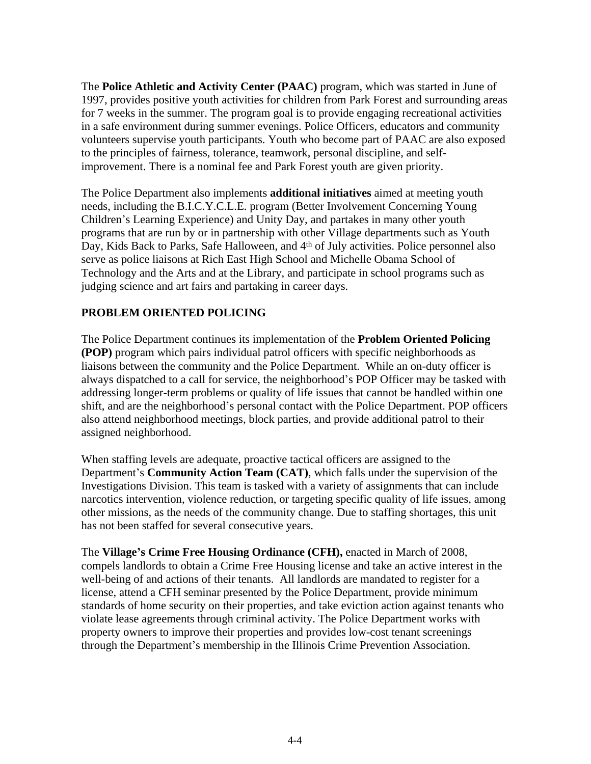The **Police Athletic and Activity Center (PAAC)** program, which was started in June of 1997, provides positive youth activities for children from Park Forest and surrounding areas for 7 weeks in the summer. The program goal is to provide engaging recreational activities in a safe environment during summer evenings. Police Officers, educators and community volunteers supervise youth participants. Youth who become part of PAAC are also exposed to the principles of fairness, tolerance, teamwork, personal discipline, and selfimprovement. There is a nominal fee and Park Forest youth are given priority.

The Police Department also implements **additional initiatives** aimed at meeting youth needs, including the B.I.C.Y.C.L.E. program (Better Involvement Concerning Young Children's Learning Experience) and Unity Day, and partakes in many other youth programs that are run by or in partnership with other Village departments such as Youth Day, Kids Back to Parks, Safe Halloween, and 4<sup>th</sup> of July activities. Police personnel also serve as police liaisons at Rich East High School and Michelle Obama School of Technology and the Arts and at the Library, and participate in school programs such as judging science and art fairs and partaking in career days.

# **PROBLEM ORIENTED POLICING**

The Police Department continues its implementation of the **Problem Oriented Policing (POP)** program which pairs individual patrol officers with specific neighborhoods as liaisons between the community and the Police Department. While an on-duty officer is always dispatched to a call for service, the neighborhood's POP Officer may be tasked with addressing longer-term problems or quality of life issues that cannot be handled within one shift, and are the neighborhood's personal contact with the Police Department. POP officers also attend neighborhood meetings, block parties, and provide additional patrol to their assigned neighborhood.

When staffing levels are adequate, proactive tactical officers are assigned to the Department's **Community Action Team (CAT)**, which falls under the supervision of the Investigations Division. This team is tasked with a variety of assignments that can include narcotics intervention, violence reduction, or targeting specific quality of life issues, among other missions, as the needs of the community change. Due to staffing shortages, this unit has not been staffed for several consecutive years.

The **Village's Crime Free Housing Ordinance (CFH),** enacted in March of 2008, compels landlords to obtain a Crime Free Housing license and take an active interest in the well-being of and actions of their tenants. All landlords are mandated to register for a license, attend a CFH seminar presented by the Police Department, provide minimum standards of home security on their properties, and take eviction action against tenants who violate lease agreements through criminal activity. The Police Department works with property owners to improve their properties and provides low-cost tenant screenings through the Department's membership in the Illinois Crime Prevention Association.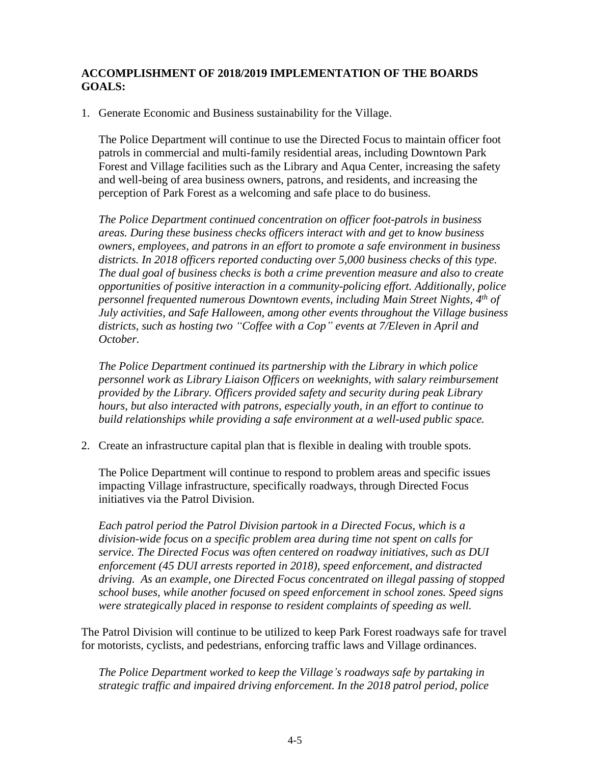# **ACCOMPLISHMENT OF 2018/2019 IMPLEMENTATION OF THE BOARDS GOALS:**

1. Generate Economic and Business sustainability for the Village.

The Police Department will continue to use the Directed Focus to maintain officer foot patrols in commercial and multi-family residential areas, including Downtown Park Forest and Village facilities such as the Library and Aqua Center, increasing the safety and well-being of area business owners, patrons, and residents, and increasing the perception of Park Forest as a welcoming and safe place to do business.

*The Police Department continued concentration on officer foot-patrols in business areas. During these business checks officers interact with and get to know business owners, employees, and patrons in an effort to promote a safe environment in business districts. In 2018 officers reported conducting over 5,000 business checks of this type. The dual goal of business checks is both a crime prevention measure and also to create opportunities of positive interaction in a community-policing effort. Additionally, police personnel frequented numerous Downtown events, including Main Street Nights, 4th of July activities, and Safe Halloween, among other events throughout the Village business districts, such as hosting two "Coffee with a Cop" events at 7/Eleven in April and October.*

*The Police Department continued its partnership with the Library in which police personnel work as Library Liaison Officers on weeknights, with salary reimbursement provided by the Library. Officers provided safety and security during peak Library hours, but also interacted with patrons, especially youth, in an effort to continue to build relationships while providing a safe environment at a well-used public space.* 

2. Create an infrastructure capital plan that is flexible in dealing with trouble spots.

The Police Department will continue to respond to problem areas and specific issues impacting Village infrastructure, specifically roadways, through Directed Focus initiatives via the Patrol Division.

*Each patrol period the Patrol Division partook in a Directed Focus, which is a division-wide focus on a specific problem area during time not spent on calls for service. The Directed Focus was often centered on roadway initiatives, such as DUI enforcement (45 DUI arrests reported in 2018), speed enforcement, and distracted driving. As an example, one Directed Focus concentrated on illegal passing of stopped school buses, while another focused on speed enforcement in school zones. Speed signs were strategically placed in response to resident complaints of speeding as well.*

The Patrol Division will continue to be utilized to keep Park Forest roadways safe for travel for motorists, cyclists, and pedestrians, enforcing traffic laws and Village ordinances.

*The Police Department worked to keep the Village's roadways safe by partaking in strategic traffic and impaired driving enforcement. In the 2018 patrol period, police*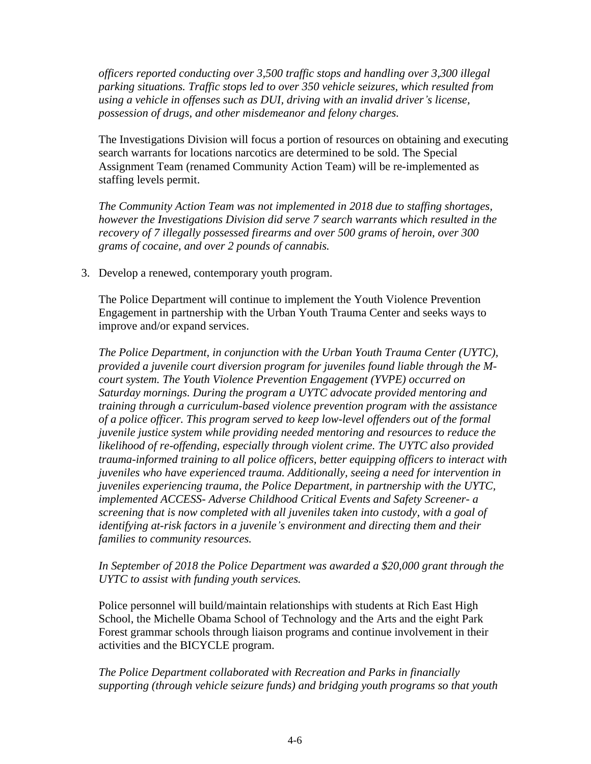*officers reported conducting over 3,500 traffic stops and handling over 3,300 illegal parking situations. Traffic stops led to over 350 vehicle seizures, which resulted from using a vehicle in offenses such as DUI, driving with an invalid driver's license, possession of drugs, and other misdemeanor and felony charges.*

The Investigations Division will focus a portion of resources on obtaining and executing search warrants for locations narcotics are determined to be sold. The Special Assignment Team (renamed Community Action Team) will be re-implemented as staffing levels permit.

*The Community Action Team was not implemented in 2018 due to staffing shortages, however the Investigations Division did serve 7 search warrants which resulted in the recovery of 7 illegally possessed firearms and over 500 grams of heroin, over 300 grams of cocaine, and over 2 pounds of cannabis.* 

3. Develop a renewed, contemporary youth program.

The Police Department will continue to implement the Youth Violence Prevention Engagement in partnership with the Urban Youth Trauma Center and seeks ways to improve and/or expand services.

*The Police Department, in conjunction with the Urban Youth Trauma Center (UYTC), provided a juvenile court diversion program for juveniles found liable through the Mcourt system. The Youth Violence Prevention Engagement (YVPE) occurred on Saturday mornings. During the program a UYTC advocate provided mentoring and training through a curriculum-based violence prevention program with the assistance of a police officer. This program served to keep low-level offenders out of the formal juvenile justice system while providing needed mentoring and resources to reduce the likelihood of re-offending, especially through violent crime. The UYTC also provided trauma-informed training to all police officers, better equipping officers to interact with juveniles who have experienced trauma. Additionally, seeing a need for intervention in juveniles experiencing trauma, the Police Department, in partnership with the UYTC, implemented ACCESS- Adverse Childhood Critical Events and Safety Screener- a screening that is now completed with all juveniles taken into custody, with a goal of identifying at-risk factors in a juvenile's environment and directing them and their families to community resources.* 

*In September of 2018 the Police Department was awarded a \$20,000 grant through the UYTC to assist with funding youth services.* 

Police personnel will build/maintain relationships with students at Rich East High School, the Michelle Obama School of Technology and the Arts and the eight Park Forest grammar schools through liaison programs and continue involvement in their activities and the BICYCLE program.

*The Police Department collaborated with Recreation and Parks in financially supporting (through vehicle seizure funds) and bridging youth programs so that youth*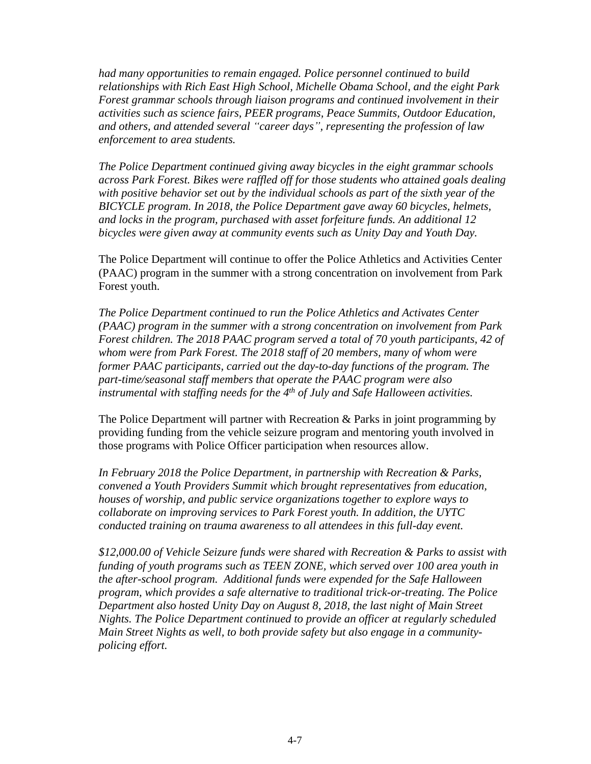*had many opportunities to remain engaged. Police personnel continued to build relationships with Rich East High School, Michelle Obama School, and the eight Park Forest grammar schools through liaison programs and continued involvement in their activities such as science fairs, PEER programs, Peace Summits, Outdoor Education, and others, and attended several "career days", representing the profession of law enforcement to area students.*

*The Police Department continued giving away bicycles in the eight grammar schools across Park Forest. Bikes were raffled off for those students who attained goals dealing* with positive behavior set out by the individual schools as part of the sixth year of the *BICYCLE program. In 2018, the Police Department gave away 60 bicycles, helmets, and locks in the program, purchased with asset forfeiture funds. An additional 12 bicycles were given away at community events such as Unity Day and Youth Day.*

The Police Department will continue to offer the Police Athletics and Activities Center (PAAC) program in the summer with a strong concentration on involvement from Park Forest youth.

*The Police Department continued to run the Police Athletics and Activates Center (PAAC) program in the summer with a strong concentration on involvement from Park Forest children. The 2018 PAAC program served a total of 70 youth participants, 42 of whom were from Park Forest. The 2018 staff of 20 members, many of whom were former PAAC participants, carried out the day-to-day functions of the program. The part-time/seasonal staff members that operate the PAAC program were also instrumental with staffing needs for the 4th of July and Safe Halloween activities.*

The Police Department will partner with Recreation & Parks in joint programming by providing funding from the vehicle seizure program and mentoring youth involved in those programs with Police Officer participation when resources allow.

*In February 2018 the Police Department, in partnership with Recreation & Parks, convened a Youth Providers Summit which brought representatives from education, houses of worship, and public service organizations together to explore ways to collaborate on improving services to Park Forest youth. In addition, the UYTC conducted training on trauma awareness to all attendees in this full-day event.* 

*\$12,000.00 of Vehicle Seizure funds were shared with Recreation & Parks to assist with funding of youth programs such as TEEN ZONE, which served over 100 area youth in the after-school program. Additional funds were expended for the Safe Halloween program, which provides a safe alternative to traditional trick-or-treating. The Police Department also hosted Unity Day on August 8, 2018, the last night of Main Street Nights. The Police Department continued to provide an officer at regularly scheduled Main Street Nights as well, to both provide safety but also engage in a communitypolicing effort.*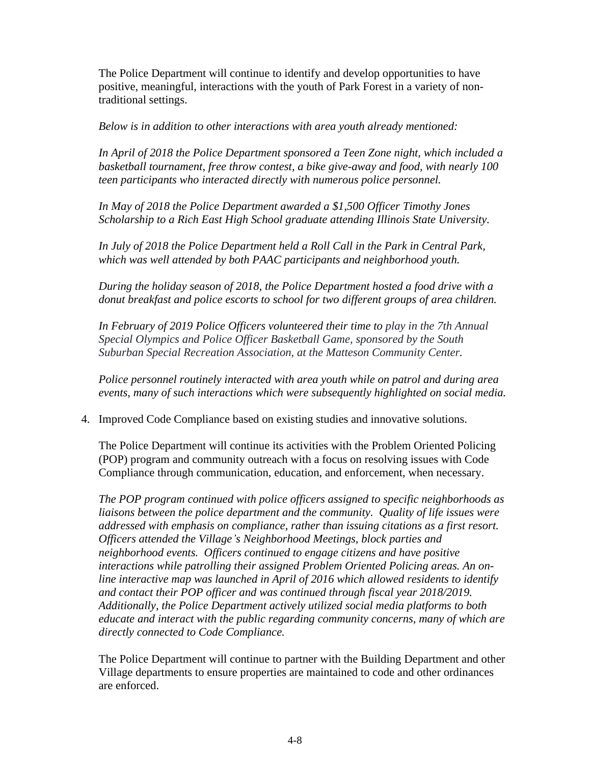The Police Department will continue to identify and develop opportunities to have positive, meaningful, interactions with the youth of Park Forest in a variety of nontraditional settings.

*Below is in addition to other interactions with area youth already mentioned:*

*In April of 2018 the Police Department sponsored a Teen Zone night, which included a basketball tournament, free throw contest, a bike give-away and food, with nearly 100 teen participants who interacted directly with numerous police personnel.* 

*In May of 2018 the Police Department awarded a \$1,500 Officer Timothy Jones Scholarship to a Rich East High School graduate attending Illinois State University.* 

*In July of 2018 the Police Department held a Roll Call in the Park in Central Park, which was well attended by both PAAC participants and neighborhood youth.*

*During the holiday season of 2018, the Police Department hosted a food drive with a donut breakfast and police escorts to school for two different groups of area children.*

In February of 2019 Police Officers volunteered their time to play in the 7th Annual *Special Olympics and Police Officer Basketball Game, sponsored by the South Suburban Special Recreation Association, at the Matteson Community Center.*

*Police personnel routinely interacted with area youth while on patrol and during area events, many of such interactions which were subsequently highlighted on social media.*

4. Improved Code Compliance based on existing studies and innovative solutions.

The Police Department will continue its activities with the Problem Oriented Policing (POP) program and community outreach with a focus on resolving issues with Code Compliance through communication, education, and enforcement, when necessary.

*The POP program continued with police officers assigned to specific neighborhoods as liaisons between the police department and the community. Quality of life issues were addressed with emphasis on compliance, rather than issuing citations as a first resort. Officers attended the Village's Neighborhood Meetings, block parties and neighborhood events. Officers continued to engage citizens and have positive interactions while patrolling their assigned Problem Oriented Policing areas. An online interactive map was launched in April of 2016 which allowed residents to identify and contact their POP officer and was continued through fiscal year 2018/2019. Additionally, the Police Department actively utilized social media platforms to both educate and interact with the public regarding community concerns, many of which are directly connected to Code Compliance.*

The Police Department will continue to partner with the Building Department and other Village departments to ensure properties are maintained to code and other ordinances are enforced.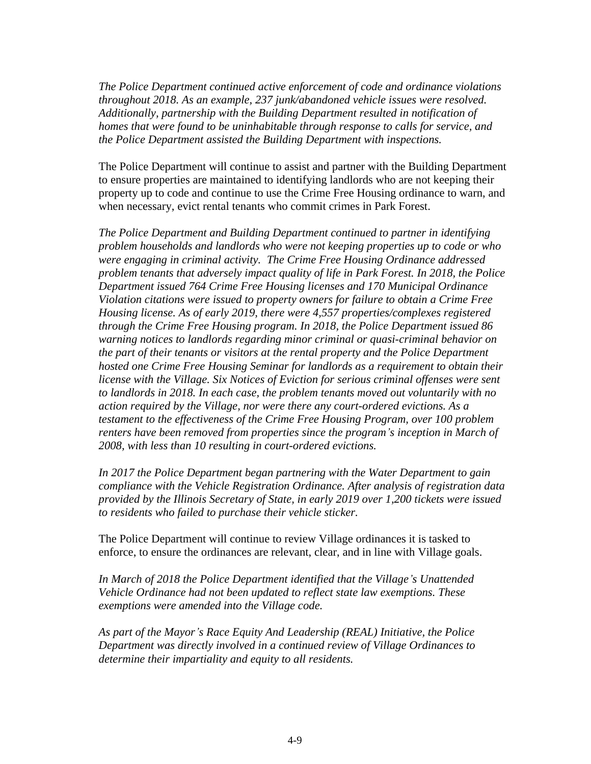*The Police Department continued active enforcement of code and ordinance violations throughout 2018. As an example, 237 junk/abandoned vehicle issues were resolved. Additionally, partnership with the Building Department resulted in notification of homes that were found to be uninhabitable through response to calls for service, and the Police Department assisted the Building Department with inspections.*

The Police Department will continue to assist and partner with the Building Department to ensure properties are maintained to identifying landlords who are not keeping their property up to code and continue to use the Crime Free Housing ordinance to warn, and when necessary, evict rental tenants who commit crimes in Park Forest.

*The Police Department and Building Department continued to partner in identifying problem households and landlords who were not keeping properties up to code or who were engaging in criminal activity. The Crime Free Housing Ordinance addressed problem tenants that adversely impact quality of life in Park Forest. In 2018, the Police Department issued 764 Crime Free Housing licenses and 170 Municipal Ordinance Violation citations were issued to property owners for failure to obtain a Crime Free Housing license. As of early 2019, there were 4,557 properties/complexes registered through the Crime Free Housing program. In 2018, the Police Department issued 86 warning notices to landlords regarding minor criminal or quasi-criminal behavior on the part of their tenants or visitors at the rental property and the Police Department hosted one Crime Free Housing Seminar for landlords as a requirement to obtain their license with the Village. Six Notices of Eviction for serious criminal offenses were sent to landlords in 2018. In each case, the problem tenants moved out voluntarily with no action required by the Village, nor were there any court-ordered evictions. As a testament to the effectiveness of the Crime Free Housing Program, over 100 problem renters have been removed from properties since the program's inception in March of 2008, with less than 10 resulting in court-ordered evictions.*

*In 2017 the Police Department began partnering with the Water Department to gain compliance with the Vehicle Registration Ordinance. After analysis of registration data provided by the Illinois Secretary of State, in early 2019 over 1,200 tickets were issued to residents who failed to purchase their vehicle sticker.*

The Police Department will continue to review Village ordinances it is tasked to enforce, to ensure the ordinances are relevant, clear, and in line with Village goals.

*In March of 2018 the Police Department identified that the Village's Unattended Vehicle Ordinance had not been updated to reflect state law exemptions. These exemptions were amended into the Village code.* 

*As part of the Mayor's Race Equity And Leadership (REAL) Initiative, the Police Department was directly involved in a continued review of Village Ordinances to determine their impartiality and equity to all residents.*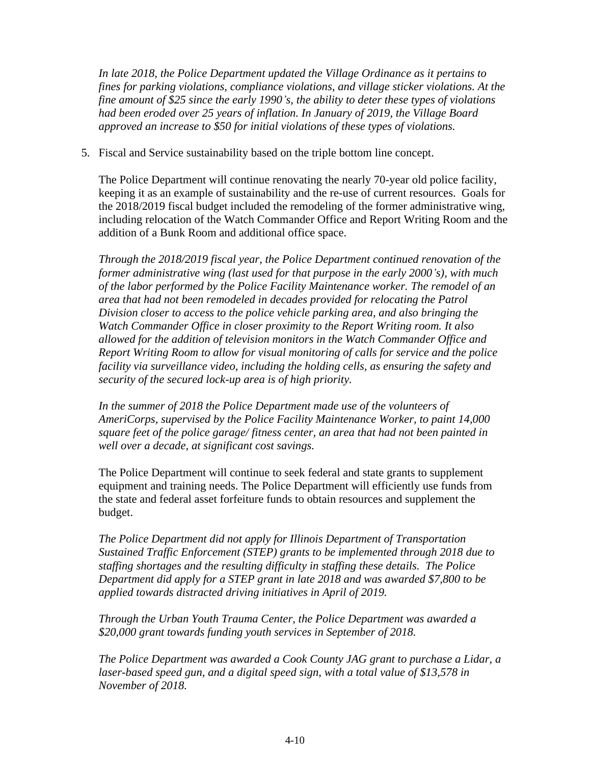*In late 2018, the Police Department updated the Village Ordinance as it pertains to fines for parking violations, compliance violations, and village sticker violations. At the fine amount of \$25 since the early 1990's, the ability to deter these types of violations had been eroded over 25 years of inflation. In January of 2019, the Village Board approved an increase to \$50 for initial violations of these types of violations.*

5. Fiscal and Service sustainability based on the triple bottom line concept.

The Police Department will continue renovating the nearly 70-year old police facility, keeping it as an example of sustainability and the re-use of current resources. Goals for the 2018/2019 fiscal budget included the remodeling of the former administrative wing, including relocation of the Watch Commander Office and Report Writing Room and the addition of a Bunk Room and additional office space.

*Through the 2018/2019 fiscal year, the Police Department continued renovation of the former administrative wing (last used for that purpose in the early 2000's), with much of the labor performed by the Police Facility Maintenance worker. The remodel of an area that had not been remodeled in decades provided for relocating the Patrol Division closer to access to the police vehicle parking area, and also bringing the Watch Commander Office in closer proximity to the Report Writing room. It also allowed for the addition of television monitors in the Watch Commander Office and Report Writing Room to allow for visual monitoring of calls for service and the police facility via surveillance video, including the holding cells, as ensuring the safety and security of the secured lock-up area is of high priority.*

In the summer of 2018 the Police Department made use of the volunteers of *AmeriCorps, supervised by the Police Facility Maintenance Worker, to paint 14,000 square feet of the police garage/ fitness center, an area that had not been painted in well over a decade, at significant cost savings.*

The Police Department will continue to seek federal and state grants to supplement equipment and training needs. The Police Department will efficiently use funds from the state and federal asset forfeiture funds to obtain resources and supplement the budget.

*The Police Department did not apply for Illinois Department of Transportation Sustained Traffic Enforcement (STEP) grants to be implemented through 2018 due to staffing shortages and the resulting difficulty in staffing these details. The Police Department did apply for a STEP grant in late 2018 and was awarded \$7,800 to be applied towards distracted driving initiatives in April of 2019.*

*Through the Urban Youth Trauma Center, the Police Department was awarded a \$20,000 grant towards funding youth services in September of 2018.* 

*The Police Department was awarded a Cook County JAG grant to purchase a Lidar, a*  laser-based speed gun, and a digital speed sign, with a total value of \$13,578 in *November of 2018.*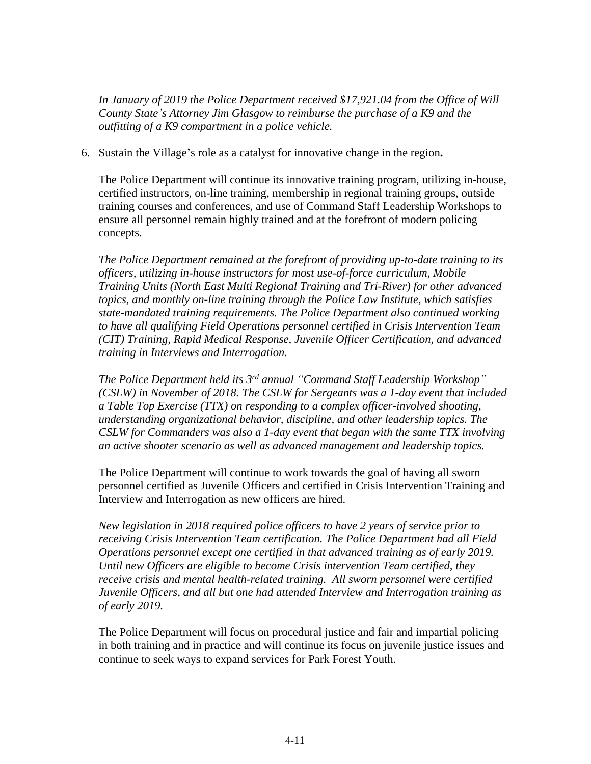*In January of 2019 the Police Department received \$17,921.04 from the Office of Will County State's Attorney Jim Glasgow to reimburse the purchase of a K9 and the outfitting of a K9 compartment in a police vehicle.* 

6. Sustain the Village's role as a catalyst for innovative change in the region**.**

The Police Department will continue its innovative training program, utilizing in-house, certified instructors, on-line training, membership in regional training groups, outside training courses and conferences, and use of Command Staff Leadership Workshops to ensure all personnel remain highly trained and at the forefront of modern policing concepts.

*The Police Department remained at the forefront of providing up-to-date training to its officers, utilizing in-house instructors for most use-of-force curriculum, Mobile Training Units (North East Multi Regional Training and Tri-River) for other advanced topics, and monthly on-line training through the Police Law Institute, which satisfies state-mandated training requirements. The Police Department also continued working to have all qualifying Field Operations personnel certified in Crisis Intervention Team (CIT) Training, Rapid Medical Response, Juvenile Officer Certification, and advanced training in Interviews and Interrogation.* 

*The Police Department held its 3 rd annual "Command Staff Leadership Workshop" (CSLW) in November of 2018. The CSLW for Sergeants was a 1-day event that included a Table Top Exercise (TTX) on responding to a complex officer-involved shooting, understanding organizational behavior, discipline, and other leadership topics. The CSLW for Commanders was also a 1-day event that began with the same TTX involving an active shooter scenario as well as advanced management and leadership topics.*

The Police Department will continue to work towards the goal of having all sworn personnel certified as Juvenile Officers and certified in Crisis Intervention Training and Interview and Interrogation as new officers are hired.

*New legislation in 2018 required police officers to have 2 years of service prior to receiving Crisis Intervention Team certification. The Police Department had all Field Operations personnel except one certified in that advanced training as of early 2019. Until new Officers are eligible to become Crisis intervention Team certified, they receive crisis and mental health-related training. All sworn personnel were certified Juvenile Officers, and all but one had attended Interview and Interrogation training as of early 2019.*

The Police Department will focus on procedural justice and fair and impartial policing in both training and in practice and will continue its focus on juvenile justice issues and continue to seek ways to expand services for Park Forest Youth.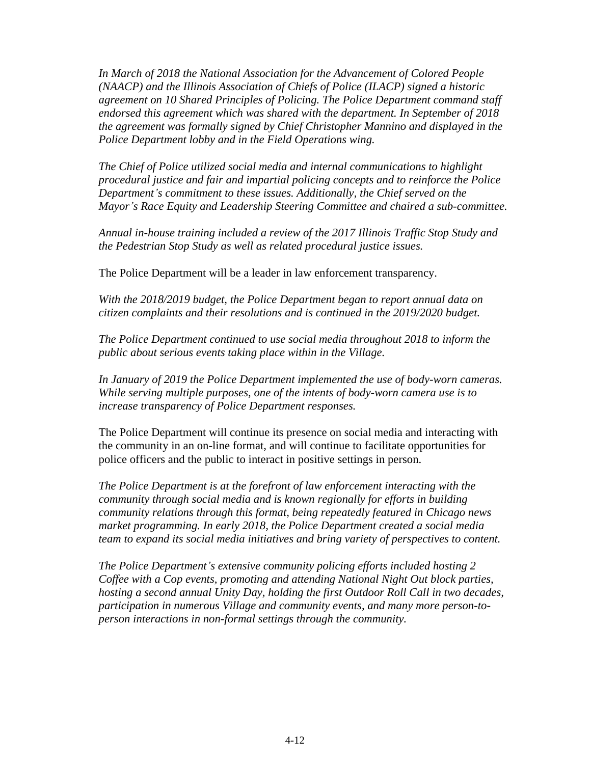*In March of 2018 the National Association for the Advancement of Colored People (NAACP) and the Illinois Association of Chiefs of Police (ILACP) signed a historic agreement on 10 Shared Principles of Policing. The Police Department command staff endorsed this agreement which was shared with the department. In September of 2018 the agreement was formally signed by Chief Christopher Mannino and displayed in the Police Department lobby and in the Field Operations wing.* 

*The Chief of Police utilized social media and internal communications to highlight procedural justice and fair and impartial policing concepts and to reinforce the Police Department's commitment to these issues. Additionally, the Chief served on the Mayor's Race Equity and Leadership Steering Committee and chaired a sub-committee.*

*Annual in-house training included a review of the 2017 Illinois Traffic Stop Study and the Pedestrian Stop Study as well as related procedural justice issues.*

The Police Department will be a leader in law enforcement transparency.

*With the 2018/2019 budget, the Police Department began to report annual data on citizen complaints and their resolutions and is continued in the 2019/2020 budget.*

*The Police Department continued to use social media throughout 2018 to inform the public about serious events taking place within in the Village.* 

*In January of 2019 the Police Department implemented the use of body-worn cameras. While serving multiple purposes, one of the intents of body-worn camera use is to increase transparency of Police Department responses.* 

The Police Department will continue its presence on social media and interacting with the community in an on-line format, and will continue to facilitate opportunities for police officers and the public to interact in positive settings in person.

*The Police Department is at the forefront of law enforcement interacting with the community through social media and is known regionally for efforts in building community relations through this format, being repeatedly featured in Chicago news market programming. In early 2018, the Police Department created a social media team to expand its social media initiatives and bring variety of perspectives to content.*

*The Police Department's extensive community policing efforts included hosting 2 Coffee with a Cop events, promoting and attending National Night Out block parties, hosting a second annual Unity Day, holding the first Outdoor Roll Call in two decades, participation in numerous Village and community events, and many more person-toperson interactions in non-formal settings through the community.*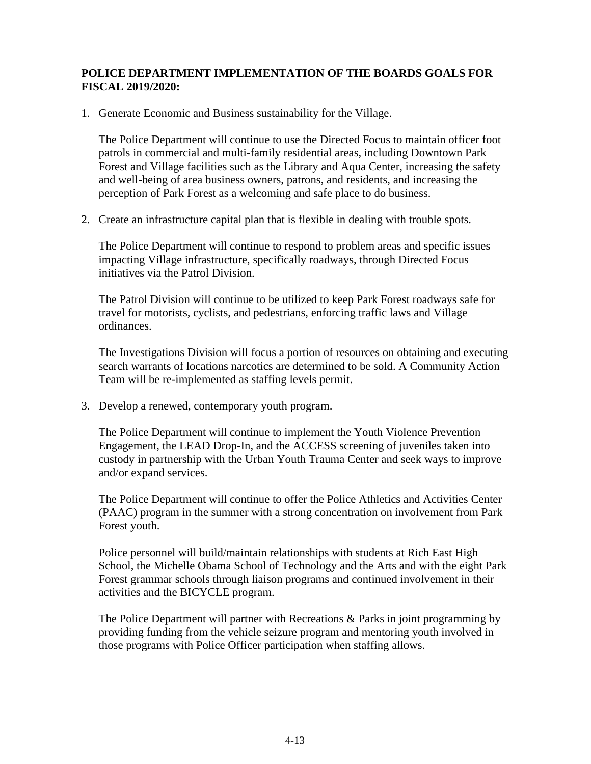# **POLICE DEPARTMENT IMPLEMENTATION OF THE BOARDS GOALS FOR FISCAL 2019/2020:**

1. Generate Economic and Business sustainability for the Village.

The Police Department will continue to use the Directed Focus to maintain officer foot patrols in commercial and multi-family residential areas, including Downtown Park Forest and Village facilities such as the Library and Aqua Center, increasing the safety and well-being of area business owners, patrons, and residents, and increasing the perception of Park Forest as a welcoming and safe place to do business.

2. Create an infrastructure capital plan that is flexible in dealing with trouble spots.

The Police Department will continue to respond to problem areas and specific issues impacting Village infrastructure, specifically roadways, through Directed Focus initiatives via the Patrol Division.

The Patrol Division will continue to be utilized to keep Park Forest roadways safe for travel for motorists, cyclists, and pedestrians, enforcing traffic laws and Village ordinances.

The Investigations Division will focus a portion of resources on obtaining and executing search warrants of locations narcotics are determined to be sold. A Community Action Team will be re-implemented as staffing levels permit.

3. Develop a renewed, contemporary youth program.

The Police Department will continue to implement the Youth Violence Prevention Engagement, the LEAD Drop-In, and the ACCESS screening of juveniles taken into custody in partnership with the Urban Youth Trauma Center and seek ways to improve and/or expand services.

The Police Department will continue to offer the Police Athletics and Activities Center (PAAC) program in the summer with a strong concentration on involvement from Park Forest youth.

Police personnel will build/maintain relationships with students at Rich East High School, the Michelle Obama School of Technology and the Arts and with the eight Park Forest grammar schools through liaison programs and continued involvement in their activities and the BICYCLE program.

The Police Department will partner with Recreations & Parks in joint programming by providing funding from the vehicle seizure program and mentoring youth involved in those programs with Police Officer participation when staffing allows.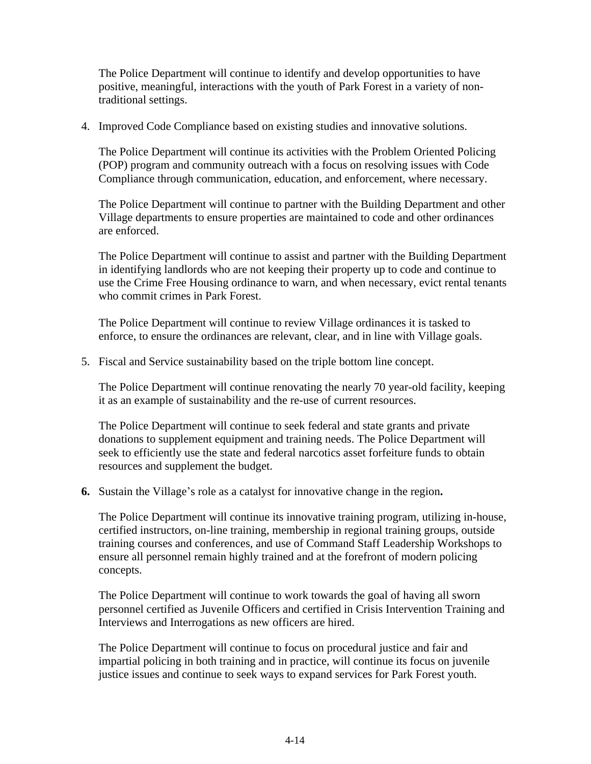The Police Department will continue to identify and develop opportunities to have positive, meaningful, interactions with the youth of Park Forest in a variety of nontraditional settings.

4. Improved Code Compliance based on existing studies and innovative solutions.

The Police Department will continue its activities with the Problem Oriented Policing (POP) program and community outreach with a focus on resolving issues with Code Compliance through communication, education, and enforcement, where necessary.

The Police Department will continue to partner with the Building Department and other Village departments to ensure properties are maintained to code and other ordinances are enforced.

The Police Department will continue to assist and partner with the Building Department in identifying landlords who are not keeping their property up to code and continue to use the Crime Free Housing ordinance to warn, and when necessary, evict rental tenants who commit crimes in Park Forest.

The Police Department will continue to review Village ordinances it is tasked to enforce, to ensure the ordinances are relevant, clear, and in line with Village goals.

5. Fiscal and Service sustainability based on the triple bottom line concept.

The Police Department will continue renovating the nearly 70 year-old facility, keeping it as an example of sustainability and the re-use of current resources.

The Police Department will continue to seek federal and state grants and private donations to supplement equipment and training needs. The Police Department will seek to efficiently use the state and federal narcotics asset forfeiture funds to obtain resources and supplement the budget.

**6.** Sustain the Village's role as a catalyst for innovative change in the region**.**

The Police Department will continue its innovative training program, utilizing in-house, certified instructors, on-line training, membership in regional training groups, outside training courses and conferences, and use of Command Staff Leadership Workshops to ensure all personnel remain highly trained and at the forefront of modern policing concepts.

The Police Department will continue to work towards the goal of having all sworn personnel certified as Juvenile Officers and certified in Crisis Intervention Training and Interviews and Interrogations as new officers are hired.

The Police Department will continue to focus on procedural justice and fair and impartial policing in both training and in practice, will continue its focus on juvenile justice issues and continue to seek ways to expand services for Park Forest youth.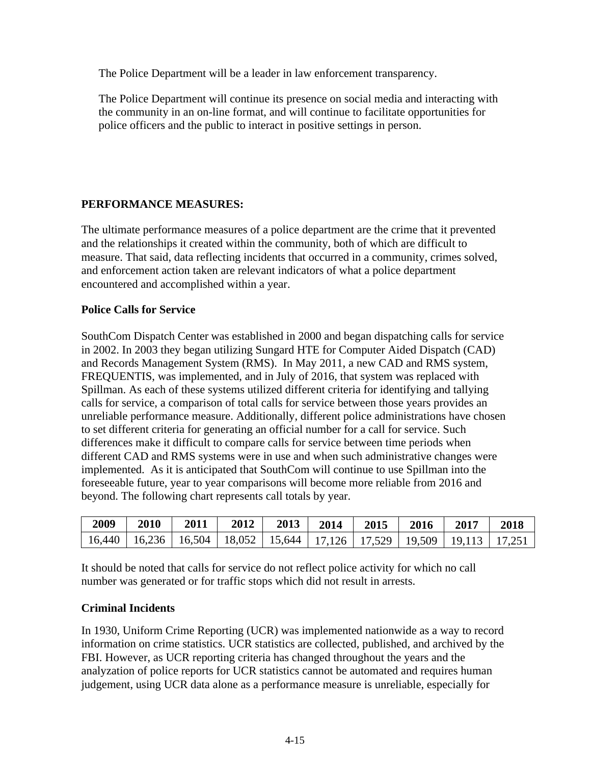The Police Department will be a leader in law enforcement transparency.

The Police Department will continue its presence on social media and interacting with the community in an on-line format, and will continue to facilitate opportunities for police officers and the public to interact in positive settings in person.

# **PERFORMANCE MEASURES:**

The ultimate performance measures of a police department are the crime that it prevented and the relationships it created within the community, both of which are difficult to measure. That said, data reflecting incidents that occurred in a community, crimes solved, and enforcement action taken are relevant indicators of what a police department encountered and accomplished within a year.

# **Police Calls for Service**

SouthCom Dispatch Center was established in 2000 and began dispatching calls for service in 2002. In 2003 they began utilizing Sungard HTE for Computer Aided Dispatch (CAD) and Records Management System (RMS). In May 2011, a new CAD and RMS system, FREQUENTIS, was implemented, and in July of 2016, that system was replaced with Spillman. As each of these systems utilized different criteria for identifying and tallying calls for service, a comparison of total calls for service between those years provides an unreliable performance measure. Additionally, different police administrations have chosen to set different criteria for generating an official number for a call for service. Such differences make it difficult to compare calls for service between time periods when different CAD and RMS systems were in use and when such administrative changes were implemented. As it is anticipated that SouthCom will continue to use Spillman into the foreseeable future, year to year comparisons will become more reliable from 2016 and beyond. The following chart represents call totals by year.

| 2009                                                                             | 2010 | 2011 | 2012 | 2013 | 2014 | 2015 | 2016 | 2017 | 2018   |
|----------------------------------------------------------------------------------|------|------|------|------|------|------|------|------|--------|
| $16,440$   16,236   16,504   18,052   15,644   17,126   17,529   19,509   19,113 |      |      |      |      |      |      |      |      | 17,251 |

It should be noted that calls for service do not reflect police activity for which no call number was generated or for traffic stops which did not result in arrests.

# **Criminal Incidents**

In 1930, Uniform Crime Reporting (UCR) was implemented nationwide as a way to record information on crime statistics. UCR statistics are collected, published, and archived by the FBI. However, as UCR reporting criteria has changed throughout the years and the analyzation of police reports for UCR statistics cannot be automated and requires human judgement, using UCR data alone as a performance measure is unreliable, especially for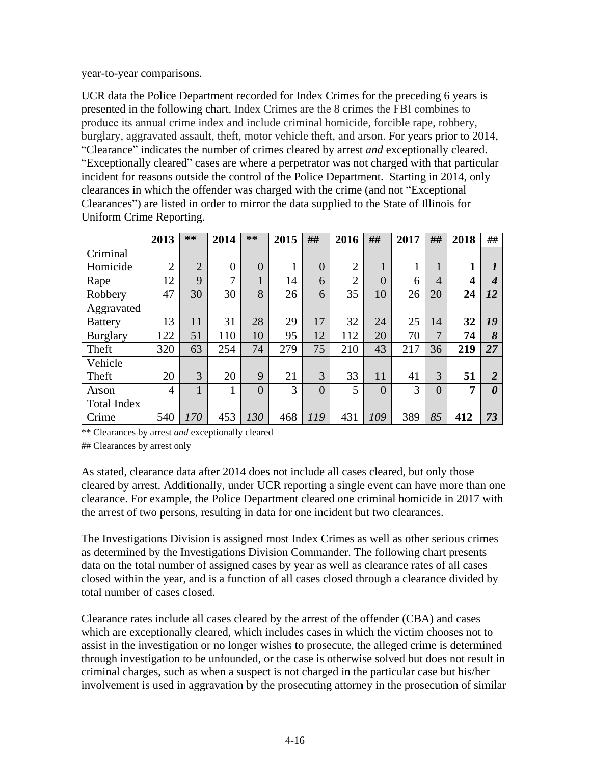year-to-year comparisons.

UCR data the Police Department recorded for Index Crimes for the preceding 6 years is presented in the following chart. Index Crimes are the 8 crimes the FBI combines to produce its annual crime index and include criminal homicide, forcible rape, robbery, burglary, aggravated assault, theft, motor vehicle theft, and arson. For years prior to 2014, "Clearance" indicates the number of crimes cleared by arrest *and* exceptionally cleared. "Exceptionally cleared" cases are where a perpetrator was not charged with that particular incident for reasons outside the control of the Police Department. Starting in 2014, only clearances in which the offender was charged with the crime (and not "Exceptional Clearances") are listed in order to mirror the data supplied to the State of Illinois for Uniform Crime Reporting.

|                    | 2013           | **             | 2014          | **             | 2015 | ##             | 2016           | ##             | 2017 | ##       | 2018 | ##               |
|--------------------|----------------|----------------|---------------|----------------|------|----------------|----------------|----------------|------|----------|------|------------------|
| Criminal           |                |                |               |                |      |                |                |                |      |          |      |                  |
| Homicide           | $\overline{2}$ | $\overline{2}$ | $\theta$      | $\overline{0}$ |      | $\Omega$       | $\overline{2}$ | 1              |      | 1        | 1    | 1                |
| Rape               | 12             | 9              | $\mathcal{I}$ |                | 14   | 6              | $\overline{2}$ | $\overline{0}$ | 6    | 4        | 4    | $\boldsymbol{4}$ |
| Robbery            | 47             | 30             | 30            | 8              | 26   | 6              | 35             | 10             | 26   | 20       | 24   | 12               |
| Aggravated         |                |                |               |                |      |                |                |                |      |          |      |                  |
| <b>Battery</b>     | 13             | 11             | 31            | 28             | 29   | 17             | 32             | 24             | 25   | 14       | 32   | 19               |
| <b>Burglary</b>    | 122            | 51             | 110           | 10             | 95   | 12             | 112            | 20             | 70   | 7        | 74   | 8                |
| Theft              | 320            | 63             | 254           | 74             | 279  | 75             | 210            | 43             | 217  | 36       | 219  | 27               |
| Vehicle            |                |                |               |                |      |                |                |                |      |          |      |                  |
| Theft              | 20             | 3              | 20            | 9              | 21   | 3              | 33             | 11             | 41   | 3        | 51   | $\overline{2}$   |
| Arson              | 4              |                |               | $\overline{0}$ | 3    | $\overline{0}$ | 5              | $\overline{0}$ | 3    | $\theta$ | 7    | 0                |
| <b>Total Index</b> |                |                |               |                |      |                |                |                |      |          |      |                  |
| Crime              | 540            | 170            | 453           | 130            | 468  | 119            | 431            | 109            | 389  | 85       | 412  | 73               |

\*\* Clearances by arrest *and* exceptionally cleared

## Clearances by arrest only

As stated, clearance data after 2014 does not include all cases cleared, but only those cleared by arrest. Additionally, under UCR reporting a single event can have more than one clearance. For example, the Police Department cleared one criminal homicide in 2017 with the arrest of two persons, resulting in data for one incident but two clearances.

The Investigations Division is assigned most Index Crimes as well as other serious crimes as determined by the Investigations Division Commander. The following chart presents data on the total number of assigned cases by year as well as clearance rates of all cases closed within the year, and is a function of all cases closed through a clearance divided by total number of cases closed.

Clearance rates include all cases cleared by the arrest of the offender (CBA) and cases which are exceptionally cleared, which includes cases in which the victim chooses not to assist in the investigation or no longer wishes to prosecute, the alleged crime is determined through investigation to be unfounded, or the case is otherwise solved but does not result in criminal charges, such as when a suspect is not charged in the particular case but his/her involvement is used in aggravation by the prosecuting attorney in the prosecution of similar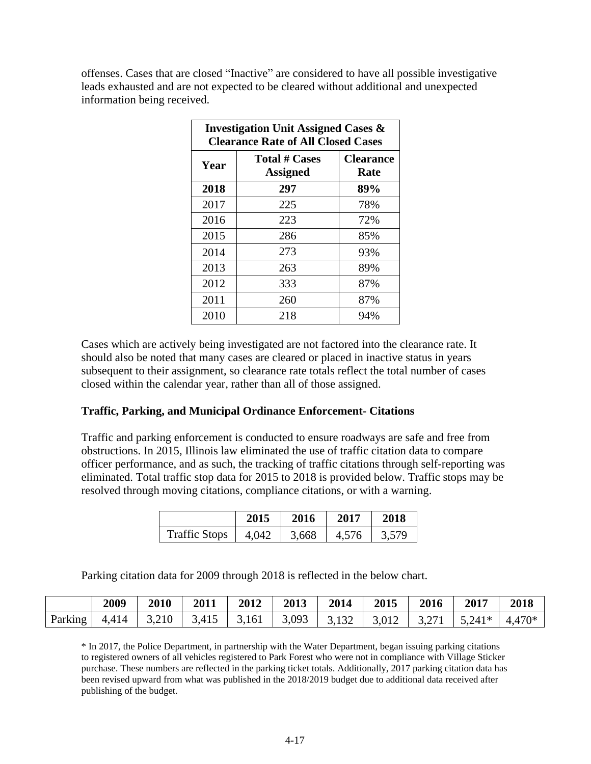offenses. Cases that are closed "Inactive" are considered to have all possible investigative leads exhausted and are not expected to be cleared without additional and unexpected information being received.

| <b>Investigation Unit Assigned Cases &amp;</b><br><b>Clearance Rate of All Closed Cases</b> |                                         |                          |  |  |  |  |
|---------------------------------------------------------------------------------------------|-----------------------------------------|--------------------------|--|--|--|--|
| Year                                                                                        | <b>Total # Cases</b><br><b>Assigned</b> | <b>Clearance</b><br>Rate |  |  |  |  |
| 2018                                                                                        | 297                                     | 89%                      |  |  |  |  |
| 2017                                                                                        | 225                                     | 78%                      |  |  |  |  |
| 2016                                                                                        | 223                                     | 72%                      |  |  |  |  |
| 2015                                                                                        | 286                                     | 85%                      |  |  |  |  |
| 2014                                                                                        | 273                                     | 93%                      |  |  |  |  |
| 2013                                                                                        | 263                                     | 89%                      |  |  |  |  |
| 2012                                                                                        | 333                                     | 87%                      |  |  |  |  |
| 2011                                                                                        | 260                                     | 87%                      |  |  |  |  |
| 2010                                                                                        | 218                                     | 94%                      |  |  |  |  |

Cases which are actively being investigated are not factored into the clearance rate. It should also be noted that many cases are cleared or placed in inactive status in years subsequent to their assignment, so clearance rate totals reflect the total number of cases closed within the calendar year, rather than all of those assigned.

### **Traffic, Parking, and Municipal Ordinance Enforcement- Citations**

Traffic and parking enforcement is conducted to ensure roadways are safe and free from obstructions. In 2015, Illinois law eliminated the use of traffic citation data to compare officer performance, and as such, the tracking of traffic citations through self-reporting was eliminated. Total traffic stop data for 2015 to 2018 is provided below. Traffic stops may be resolved through moving citations, compliance citations, or with a warning.

|                      | 2015  | 2016  | 2017  | 2018  |
|----------------------|-------|-------|-------|-------|
| <b>Traffic Stops</b> | 4,042 | 3,668 | 4,576 | 3,579 |

Parking citation data for 2009 through 2018 is reflected in the below chart.

|         | 2009  | 2010  | 2011  | 2012 | 2013 | 2014                                                                                 | 2015            | 2016 | 2017                 | 2018   |
|---------|-------|-------|-------|------|------|--------------------------------------------------------------------------------------|-----------------|------|----------------------|--------|
| Parking | 4,414 | 3,210 | 3,415 |      |      | $\begin{array}{ c c c c c c c c c } \hline 3,161 & 3,093 & 3,132 \hline \end{array}$ | $3,012$   3,271 |      | $\vert 5.241* \vert$ | 4,470* |

\* In 2017, the Police Department, in partnership with the Water Department, began issuing parking citations to registered owners of all vehicles registered to Park Forest who were not in compliance with Village Sticker purchase. These numbers are reflected in the parking ticket totals. Additionally, 2017 parking citation data has been revised upward from what was published in the 2018/2019 budget due to additional data received after publishing of the budget.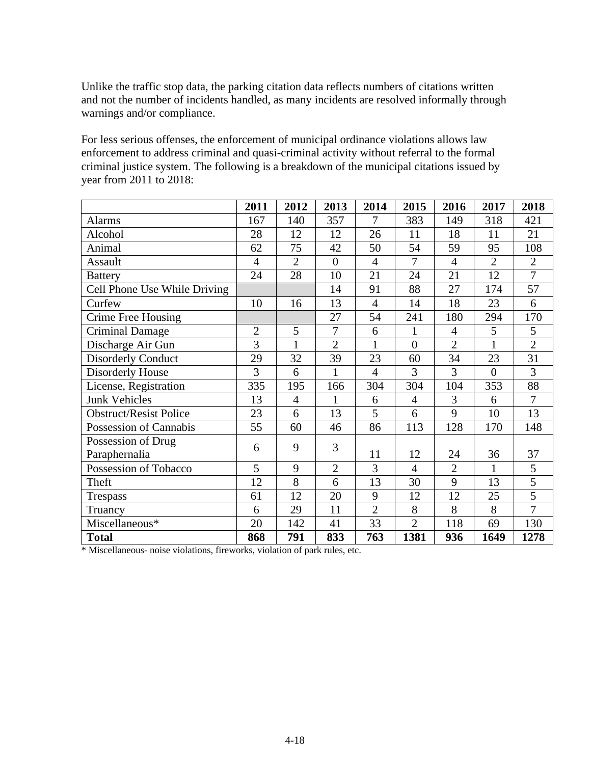Unlike the traffic stop data, the parking citation data reflects numbers of citations written and not the number of incidents handled, as many incidents are resolved informally through warnings and/or compliance.

For less serious offenses, the enforcement of municipal ordinance violations allows law enforcement to address criminal and quasi-criminal activity without referral to the formal criminal justice system. The following is a breakdown of the municipal citations issued by year from 2011 to 2018:

|                               | 2011           | 2012           | 2013           | 2014           | 2015           | 2016           | 2017           | 2018           |
|-------------------------------|----------------|----------------|----------------|----------------|----------------|----------------|----------------|----------------|
| <b>Alarms</b>                 | 167            | 140            | 357            | 7              | 383            | 149            | 318            | 421            |
| Alcohol                       | 28             | 12             | 12             | 26             | 11             | 18             | 11             | 21             |
| Animal                        | 62             | 75             | 42             | 50             | 54             | 59             | 95             | 108            |
| Assault                       | $\overline{4}$ | $\overline{2}$ | $\overline{0}$ | $\overline{4}$ | $\overline{7}$ | $\overline{4}$ | $\overline{2}$ | $\mathfrak{2}$ |
| <b>Battery</b>                | 24             | 28             | 10             | 21             | 24             | 21             | 12             | $\overline{7}$ |
| Cell Phone Use While Driving  |                |                | 14             | 91             | 88             | 27             | 174            | 57             |
| Curfew                        | 10             | 16             | 13             | $\overline{4}$ | 14             | 18             | 23             | 6              |
| Crime Free Housing            |                |                | 27             | 54             | 241            | 180            | 294            | 170            |
| <b>Criminal Damage</b>        | $\overline{2}$ | 5              | 7              | 6              | $\mathbf{1}$   | $\overline{4}$ | 5              | 5              |
| Discharge Air Gun             | 3              | $\mathbf{1}$   | $\overline{2}$ | $\mathbf{1}$   | $\overline{0}$ | $\overline{2}$ | $\mathbf{1}$   | $\overline{2}$ |
| <b>Disorderly Conduct</b>     | 29             | 32             | 39             | 23             | 60             | 34             | 23             | 31             |
| <b>Disorderly House</b>       | 3              | 6              | $\mathbf{1}$   | $\overline{4}$ | 3              | 3              | $\overline{0}$ | 3              |
| License, Registration         | 335            | 195            | 166            | 304            | 304            | 104            | 353            | 88             |
| <b>Junk Vehicles</b>          | 13             | $\overline{4}$ | 1              | 6              | $\overline{4}$ | 3              | 6              | $\overline{7}$ |
| <b>Obstruct/Resist Police</b> | 23             | 6              | 13             | 5              | 6              | 9              | 10             | 13             |
| Possession of Cannabis        | 55             | 60             | 46             | 86             | 113            | 128            | 170            | 148            |
| Possession of Drug            | 6              | 9              | 3              |                |                |                |                |                |
| Paraphernalia                 |                |                |                | 11             | 12             | 24             | 36             | 37             |
| Possession of Tobacco         | 5              | 9              | $\overline{2}$ | 3              | $\overline{4}$ | $\overline{2}$ | $\mathbf{1}$   | 5              |
| Theft                         | 12             | 8              | 6              | 13             | 30             | 9              | 13             | $\overline{5}$ |
| Trespass                      | 61             | 12             | 20             | 9              | 12             | 12             | 25             | $\overline{5}$ |
| Truancy                       | 6              | 29             | 11             | $\overline{2}$ | 8              | 8              | 8              | $\overline{7}$ |
| Miscellaneous*                | 20             | 142            | 41             | 33             | $\overline{2}$ | 118            | 69             | 130            |
| <b>Total</b>                  | 868            | 791            | 833            | 763            | 1381           | 936            | 1649           | 1278           |

\* Miscellaneous- noise violations, fireworks, violation of park rules, etc.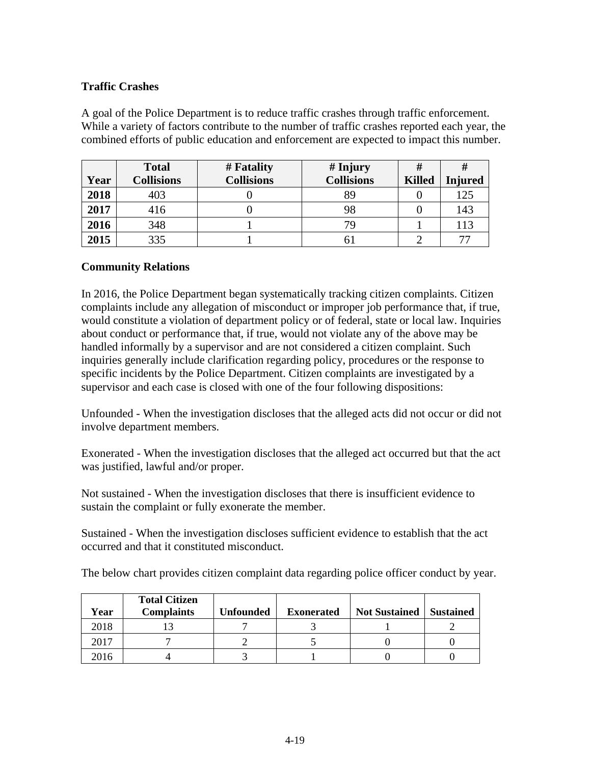# **Traffic Crashes**

A goal of the Police Department is to reduce traffic crashes through traffic enforcement. While a variety of factors contribute to the number of traffic crashes reported each year, the combined efforts of public education and enforcement are expected to impact this number.

|      | <b>Total</b>      | # Fatality        | $#$ Injury        | #             | #       |
|------|-------------------|-------------------|-------------------|---------------|---------|
| Year | <b>Collisions</b> | <b>Collisions</b> | <b>Collisions</b> | <b>Killed</b> | Injured |
| 2018 | 403               |                   | 89                |               | 125     |
| 2017 | 416               |                   | 98                |               | 143     |
| 2016 | 348               |                   | 79                |               | 113     |
| 2015 | 335               |                   |                   |               | 77      |

### **Community Relations**

In 2016, the Police Department began systematically tracking citizen complaints. Citizen complaints include any allegation of misconduct or improper job performance that, if true, would constitute a violation of department policy or of federal, state or local law. Inquiries about conduct or performance that, if true, would not violate any of the above may be handled informally by a supervisor and are not considered a citizen complaint. Such inquiries generally include clarification regarding policy, procedures or the response to specific incidents by the Police Department. Citizen complaints are investigated by a supervisor and each case is closed with one of the four following dispositions:

Unfounded - When the investigation discloses that the alleged acts did not occur or did not involve department members.

Exonerated - When the investigation discloses that the alleged act occurred but that the act was justified, lawful and/or proper.

Not sustained - When the investigation discloses that there is insufficient evidence to sustain the complaint or fully exonerate the member.

Sustained - When the investigation discloses sufficient evidence to establish that the act occurred and that it constituted misconduct.

The below chart provides citizen complaint data regarding police officer conduct by year.

| Year | <b>Total Citizen</b><br><b>Complaints</b> | Unfounded | <b>Exonerated</b> | <b>Not Sustained</b> | <b>Sustained</b> |
|------|-------------------------------------------|-----------|-------------------|----------------------|------------------|
| 2018 |                                           |           |                   |                      |                  |
| 2017 |                                           |           |                   |                      |                  |
| 2016 |                                           |           |                   |                      |                  |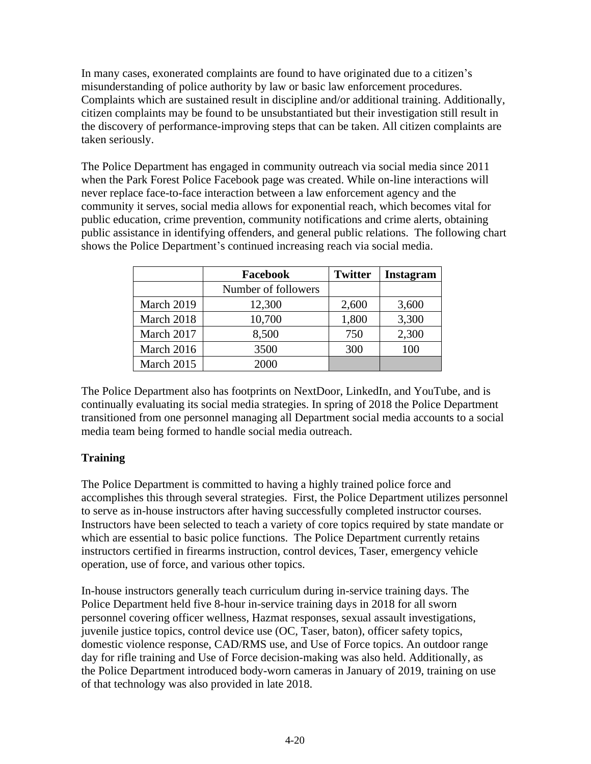In many cases, exonerated complaints are found to have originated due to a citizen's misunderstanding of police authority by law or basic law enforcement procedures. Complaints which are sustained result in discipline and/or additional training. Additionally, citizen complaints may be found to be unsubstantiated but their investigation still result in the discovery of performance-improving steps that can be taken. All citizen complaints are taken seriously.

The Police Department has engaged in community outreach via social media since 2011 when the Park Forest Police Facebook page was created. While on-line interactions will never replace face-to-face interaction between a law enforcement agency and the community it serves, social media allows for exponential reach, which becomes vital for public education, crime prevention, community notifications and crime alerts, obtaining public assistance in identifying offenders, and general public relations. The following chart shows the Police Department's continued increasing reach via social media.

|            | <b>Facebook</b>     | <b>Twitter</b> | <b>Instagram</b> |
|------------|---------------------|----------------|------------------|
|            | Number of followers |                |                  |
| March 2019 | 12,300              | 2,600          | 3,600            |
| March 2018 | 10,700              | 1,800          | 3,300            |
| March 2017 | 8,500               | 750            | 2,300            |
| March 2016 | 3500                | 300            | 100              |
| March 2015 | 2000                |                |                  |

The Police Department also has footprints on NextDoor, LinkedIn, and YouTube, and is continually evaluating its social media strategies. In spring of 2018 the Police Department transitioned from one personnel managing all Department social media accounts to a social media team being formed to handle social media outreach.

# **Training**

The Police Department is committed to having a highly trained police force and accomplishes this through several strategies. First, the Police Department utilizes personnel to serve as in-house instructors after having successfully completed instructor courses. Instructors have been selected to teach a variety of core topics required by state mandate or which are essential to basic police functions. The Police Department currently retains instructors certified in firearms instruction, control devices, Taser, emergency vehicle operation, use of force, and various other topics.

In-house instructors generally teach curriculum during in-service training days. The Police Department held five 8-hour in-service training days in 2018 for all sworn personnel covering officer wellness, Hazmat responses, sexual assault investigations, juvenile justice topics, control device use (OC, Taser, baton), officer safety topics, domestic violence response, CAD/RMS use, and Use of Force topics. An outdoor range day for rifle training and Use of Force decision-making was also held. Additionally, as the Police Department introduced body-worn cameras in January of 2019, training on use of that technology was also provided in late 2018.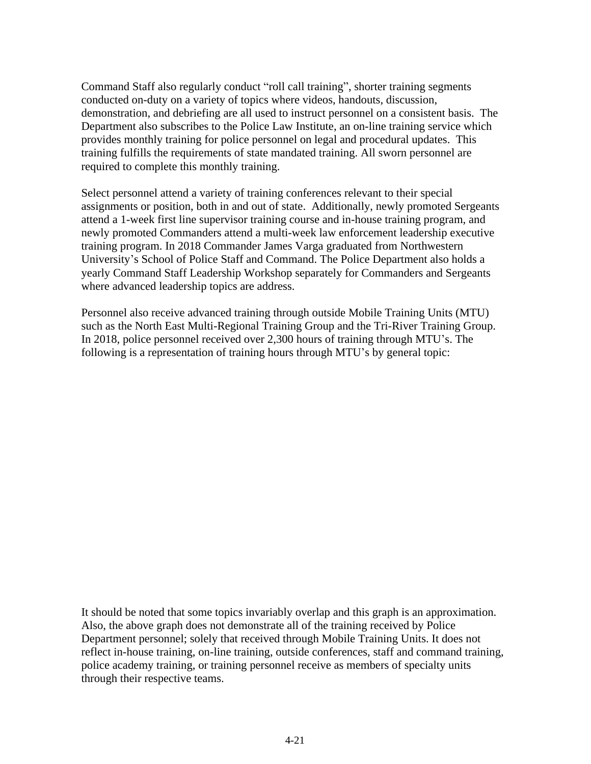Command Staff also regularly conduct "roll call training", shorter training segments conducted on-duty on a variety of topics where videos, handouts, discussion, demonstration, and debriefing are all used to instruct personnel on a consistent basis. The Department also subscribes to the Police Law Institute, an on-line training service which provides monthly training for police personnel on legal and procedural updates. This training fulfills the requirements of state mandated training. All sworn personnel are required to complete this monthly training.

Select personnel attend a variety of training conferences relevant to their special assignments or position, both in and out of state. Additionally, newly promoted Sergeants attend a 1-week first line supervisor training course and in-house training program, and newly promoted Commanders attend a multi-week law enforcement leadership executive training program. In 2018 Commander James Varga graduated from Northwestern University's School of Police Staff and Command. The Police Department also holds a yearly Command Staff Leadership Workshop separately for Commanders and Sergeants where advanced leadership topics are address.

Personnel also receive advanced training through outside Mobile Training Units (MTU) such as the North East Multi-Regional Training Group and the Tri-River Training Group. In 2018, police personnel received over 2,300 hours of training through MTU's. The following is a representation of training hours through MTU's by general topic:

It should be noted that some topics invariably overlap and this graph is an approximation. Also, the above graph does not demonstrate all of the training received by Police Department personnel; solely that received through Mobile Training Units. It does not reflect in-house training, on-line training, outside conferences, staff and command training, police academy training, or training personnel receive as members of specialty units through their respective teams.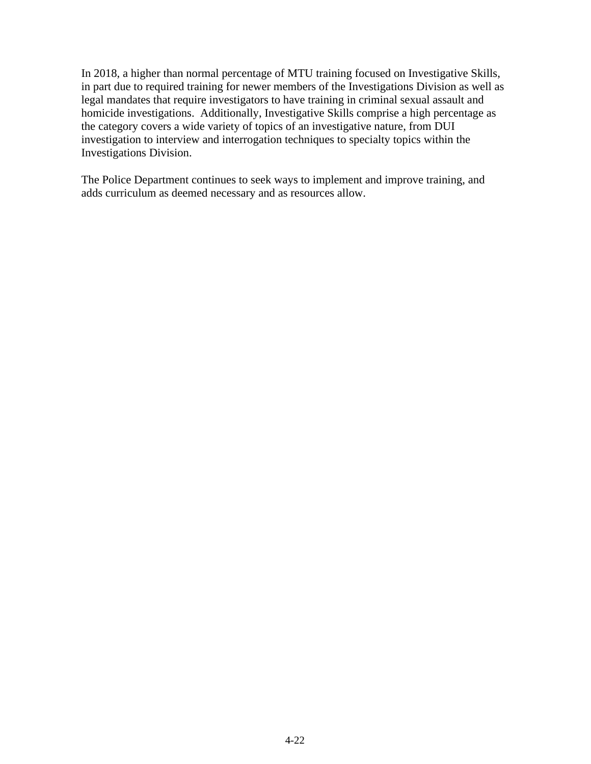In 2018, a higher than normal percentage of MTU training focused on Investigative Skills, in part due to required training for newer members of the Investigations Division as well as legal mandates that require investigators to have training in criminal sexual assault and homicide investigations. Additionally, Investigative Skills comprise a high percentage as the category covers a wide variety of topics of an investigative nature, from DUI investigation to interview and interrogation techniques to specialty topics within the Investigations Division.

The Police Department continues to seek ways to implement and improve training, and adds curriculum as deemed necessary and as resources allow.